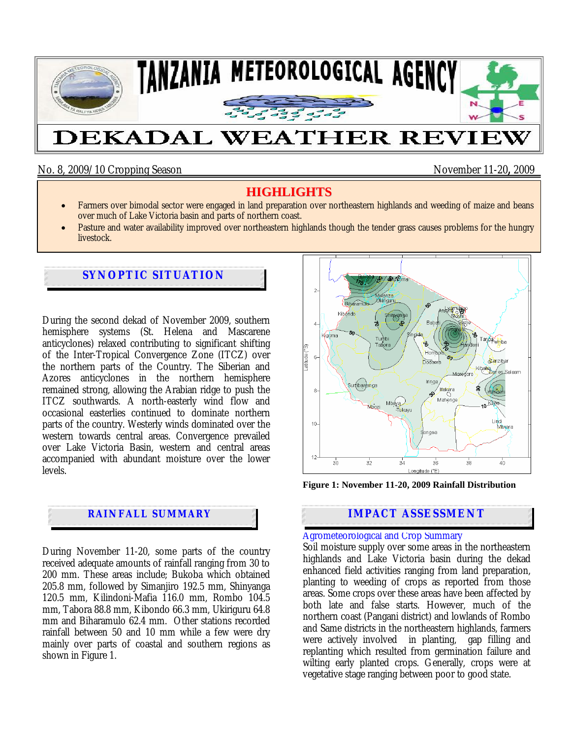

No. 8, 2009/10 Cropping Season November 11-20**,** 2009

# **HIGHLIGHTS**

- Farmers over bimodal sector were engaged in land preparation over northeastern highlands and weeding of maize and beans over much of Lake Victoria basin and parts of northern coast.
- Pasture and water availability improved over northeastern highlands though the tender grass causes problems for the hungry livestock.

# **SYNOPTIC SITUATION**

During the second dekad of November 2009, southern hemisphere systems (St. Helena and Mascarene anticyclones) relaxed contributing to significant shifting of the Inter-Tropical Convergence Zone (ITCZ) over the northern parts of the Country. The Siberian and Azores anticyclones in the northern hemisphere remained strong, allowing the Arabian ridge to push the ITCZ southwards. A north-easterly wind flow and occasional easterlies continued to dominate northern parts of the country. Westerly winds dominated over the western towards central areas. Convergence prevailed over Lake Victoria Basin, western and central areas accompanied with abundant moisture over the lower levels.

## **RAINFALL SUMMARY**

During November 11-20, some parts of the country received adequate amounts of rainfall ranging from 30 to 200 mm. These areas include; Bukoba which obtained 205.8 mm, followed by Simanjiro 192.5 mm, Shinyanga 120.5 mm, Kilindoni-Mafia 116.0 mm, Rombo 104.5 mm, Tabora 88.8 mm, Kibondo 66.3 mm, Ukiriguru 64.8 mm and Biharamulo 62.4 mm. Other stations recorded rainfall between 50 and 10 mm while a few were dry mainly over parts of coastal and southern regions as shown in Figure 1.



**Figure 1: November 11-20, 2009 Rainfall Distribution** 

## **IMPACT ASSESSMENT**

### Agrometeorological and Crop Summary

Soil moisture supply over some areas in the northeastern highlands and Lake Victoria basin during the dekad enhanced field activities ranging from land preparation, planting to weeding of crops as reported from those areas. Some crops over these areas have been affected by both late and false starts. However, much of the northern coast (Pangani district) and lowlands of Rombo and Same districts in the northeastern highlands, farmers were actively involved in planting, gap filling and replanting which resulted from germination failure and wilting early planted crops. Generally, crops were at vegetative stage ranging between poor to good state.